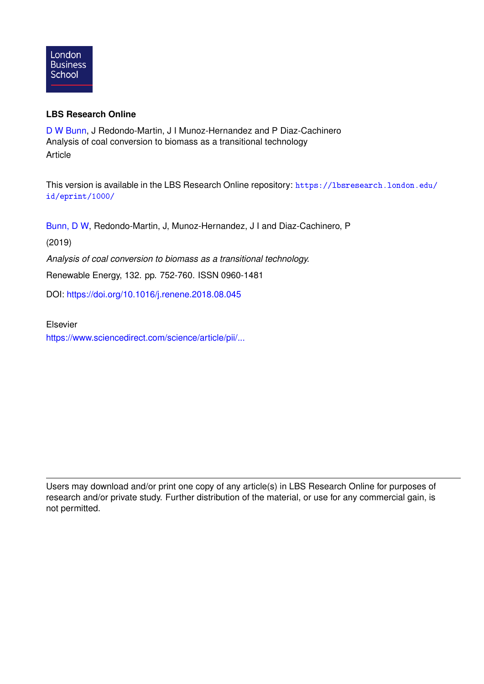

## **LBS Research Online**

[D W Bunn,](https://lbsresearch.london.edu/view/lbs_authors/200683.html) J Redondo-Martin, J I Munoz-Hernandez and P Diaz-Cachinero Analysis of coal conversion to biomass as a transitional technology Article

This version is available in the LBS Research Online repository: [https://lbsresearch.london.edu/](https://lbsresearch.london.edu/id/eprint/1000/) [id/eprint/1000/](https://lbsresearch.london.edu/id/eprint/1000/)

[Bunn, D W,](https://lbsresearch.london.edu/view/lbs_authors/200683.html) Redondo-Martin, J, Munoz-Hernandez, J I and Diaz-Cachinero, P

(2019)

*Analysis of coal conversion to biomass as a transitional technology.*

Renewable Energy, 132. pp. 752-760. ISSN 0960-1481

DOI: <https://doi.org/10.1016/j.renene.2018.08.045>

Elsevier

[https://www.sciencedirect.com/science/article/pii/...](https://www.sciencedirect.com/science/article/pii/S0960148118309959)

Users may download and/or print one copy of any article(s) in LBS Research Online for purposes of research and/or private study. Further distribution of the material, or use for any commercial gain, is not permitted.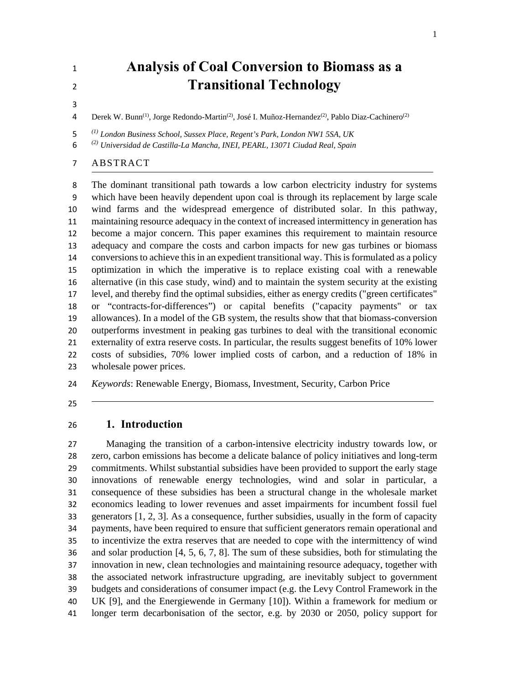# **Analysis of Coal Conversion to Biomass as a Transitional Technology**

4 Derek W. Bunn<sup>(1)</sup>, Jorge Redondo-Martin<sup>(2)</sup>, José I. Muñoz-Hernandez<sup>(2)</sup>, Pablo Diaz-Cachinero<sup>(2)</sup>

*(1) London Business School, Sussex Place, Regent's Park, London NW1 5SA, UK* 

*(2) Universidad de Castilla-La Mancha, INEI, PEARL, 13071 Ciudad Real, Spain*

## ABSTRACT

 The dominant transitional path towards a low carbon electricity industry for systems which have been heavily dependent upon coal is through its replacement by large scale wind farms and the widespread emergence of distributed solar. In this pathway, maintaining resource adequacy in the context of increased intermittency in generation has become a major concern. This paper examines this requirement to maintain resource adequacy and compare the costs and carbon impacts for new gas turbines or biomass conversions to achieve this in an expedient transitional way. This is formulated as a policy optimization in which the imperative is to replace existing coal with a renewable alternative (in this case study, wind) and to maintain the system security at the existing level, and thereby find the optimal subsidies, either as energy credits ("green certificates" or "contracts-for-differences") or capital benefits ("capacity payments" or tax allowances). In a model of the GB system, the results show that that biomass-conversion outperforms investment in peaking gas turbines to deal with the transitional economic externality of extra reserve costs. In particular, the results suggest benefits of 10% lower costs of subsidies, 70% lower implied costs of carbon, and a reduction of 18% in wholesale power prices.

*Keywords*: Renewable Energy, Biomass, Investment, Security, Carbon Price

#### **1. Introduction**

 Managing the transition of a carbon-intensive electricity industry towards low, or zero, carbon emissions has become a delicate balance of policy initiatives and long-term commitments. Whilst substantial subsidies have been provided to support the early stage innovations of renewable energy technologies, wind and solar in particular, a consequence of these subsidies has been a structural change in the wholesale market economics leading to lower revenues and asset impairments for incumbent fossil fuel generators [1, 2, 3]. As a consequence, further subsidies, usually in the form of capacity payments, have been required to ensure that sufficient generators remain operational and to incentivize the extra reserves that are needed to cope with the intermittency of wind and solar production [4, 5, 6, 7, 8]. The sum of these subsidies, both for stimulating the innovation in new, clean technologies and maintaining resource adequacy, together with the associated network infrastructure upgrading, are inevitably subject to government budgets and considerations of consumer impact (e.g. the Levy Control Framework in the UK [9], and the Energiewende in Germany [10]). Within a framework for medium or longer term decarbonisation of the sector, e.g. by 2030 or 2050, policy support for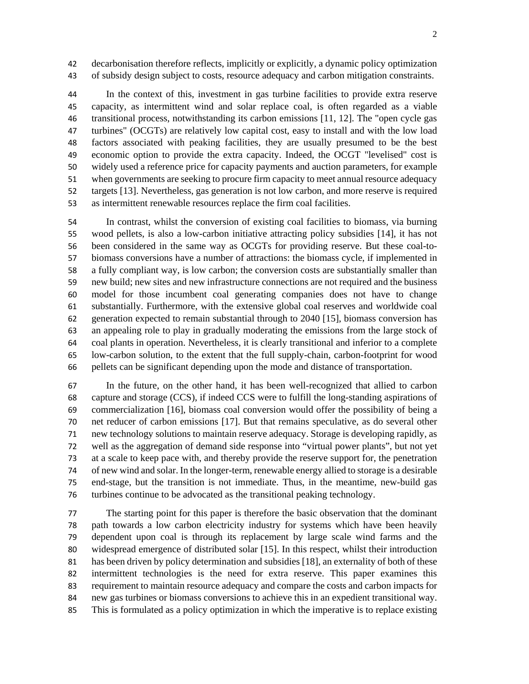decarbonisation therefore reflects, implicitly or explicitly, a dynamic policy optimization of subsidy design subject to costs, resource adequacy and carbon mitigation constraints.

 In the context of this, investment in gas turbine facilities to provide extra reserve capacity, as intermittent wind and solar replace coal, is often regarded as a viable transitional process, notwithstanding its carbon emissions [11, 12]. The "open cycle gas turbines" (OCGTs) are relatively low capital cost, easy to install and with the low load factors associated with peaking facilities, they are usually presumed to be the best economic option to provide the extra capacity. Indeed, the OCGT "levelised" cost is widely used a reference price for capacity payments and auction parameters, for example when governments are seeking to procure firm capacity to meet annual resource adequacy targets [13]. Nevertheless, gas generation is not low carbon, and more reserve is required as intermittent renewable resources replace the firm coal facilities.

 In contrast, whilst the conversion of existing coal facilities to biomass, via burning wood pellets, is also a low-carbon initiative attracting policy subsidies [14], it has not been considered in the same way as OCGTs for providing reserve. But these coal-to- biomass conversions have a number of attractions: the biomass cycle, if implemented in a fully compliant way, is low carbon; the conversion costs are substantially smaller than new build; new sites and new infrastructure connections are not required and the business model for those incumbent coal generating companies does not have to change substantially. Furthermore, with the extensive global coal reserves and worldwide coal generation expected to remain substantial through to 2040 [15], biomass conversion has an appealing role to play in gradually moderating the emissions from the large stock of coal plants in operation. Nevertheless, it is clearly transitional and inferior to a complete low-carbon solution, to the extent that the full supply-chain, carbon-footprint for wood pellets can be significant depending upon the mode and distance of transportation.

 In the future, on the other hand, it has been well-recognized that allied to carbon capture and storage (CCS), if indeed CCS were to fulfill the long-standing aspirations of commercialization [16], biomass coal conversion would offer the possibility of being a net reducer of carbon emissions [17]. But that remains speculative, as do several other new technology solutions to maintain reserve adequacy. Storage is developing rapidly, as well as the aggregation of demand side response into "virtual power plants", but not yet at a scale to keep pace with, and thereby provide the reserve support for, the penetration of new wind and solar. In the longer-term, renewable energy allied to storage is a desirable end-stage, but the transition is not immediate. Thus, in the meantime, new-build gas turbines continue to be advocated as the transitional peaking technology.

 The starting point for this paper is therefore the basic observation that the dominant path towards a low carbon electricity industry for systems which have been heavily dependent upon coal is through its replacement by large scale wind farms and the widespread emergence of distributed solar [15]. In this respect, whilst their introduction has been driven by policy determination and subsidies [18], an externality of both of these intermittent technologies is the need for extra reserve. This paper examines this requirement to maintain resource adequacy and compare the costs and carbon impacts for new gas turbines or biomass conversions to achieve this in an expedient transitional way. This is formulated as a policy optimization in which the imperative is to replace existing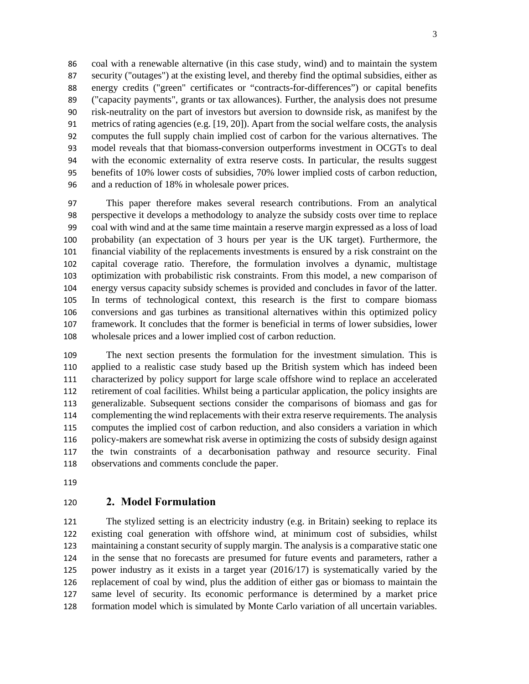coal with a renewable alternative (in this case study, wind) and to maintain the system security ("outages") at the existing level, and thereby find the optimal subsidies, either as energy credits ("green" certificates or "contracts-for-differences") or capital benefits ("capacity payments", grants or tax allowances). Further, the analysis does not presume risk-neutrality on the part of investors but aversion to downside risk, as manifest by the metrics of rating agencies (e.g. [19, 20]). Apart from the social welfare costs, the analysis computes the full supply chain implied cost of carbon for the various alternatives. The model reveals that that biomass-conversion outperforms investment in OCGTs to deal with the economic externality of extra reserve costs. In particular, the results suggest benefits of 10% lower costs of subsidies, 70% lower implied costs of carbon reduction, and a reduction of 18% in wholesale power prices.

 This paper therefore makes several research contributions. From an analytical perspective it develops a methodology to analyze the subsidy costs over time to replace coal with wind and at the same time maintain a reserve margin expressed as a loss of load probability (an expectation of 3 hours per year is the UK target). Furthermore, the financial viability of the replacements investments is ensured by a risk constraint on the capital coverage ratio. Therefore, the formulation involves a dynamic, multistage optimization with probabilistic risk constraints. From this model, a new comparison of energy versus capacity subsidy schemes is provided and concludes in favor of the latter. In terms of technological context, this research is the first to compare biomass conversions and gas turbines as transitional alternatives within this optimized policy framework. It concludes that the former is beneficial in terms of lower subsidies, lower wholesale prices and a lower implied cost of carbon reduction.

 The next section presents the formulation for the investment simulation. This is applied to a realistic case study based up the British system which has indeed been characterized by policy support for large scale offshore wind to replace an accelerated retirement of coal facilities. Whilst being a particular application, the policy insights are generalizable. Subsequent sections consider the comparisons of biomass and gas for complementing the wind replacements with their extra reserve requirements. The analysis computes the implied cost of carbon reduction, and also considers a variation in which policy-makers are somewhat risk averse in optimizing the costs of subsidy design against the twin constraints of a decarbonisation pathway and resource security. Final observations and comments conclude the paper.

#### **2. Model Formulation**

 The stylized setting is an electricity industry (e.g. in Britain) seeking to replace its existing coal generation with offshore wind, at minimum cost of subsidies, whilst maintaining a constant security of supply margin. The analysis is a comparative static one in the sense that no forecasts are presumed for future events and parameters, rather a power industry as it exists in a target year (2016/17) is systematically varied by the replacement of coal by wind, plus the addition of either gas or biomass to maintain the same level of security. Its economic performance is determined by a market price formation model which is simulated by Monte Carlo variation of all uncertain variables.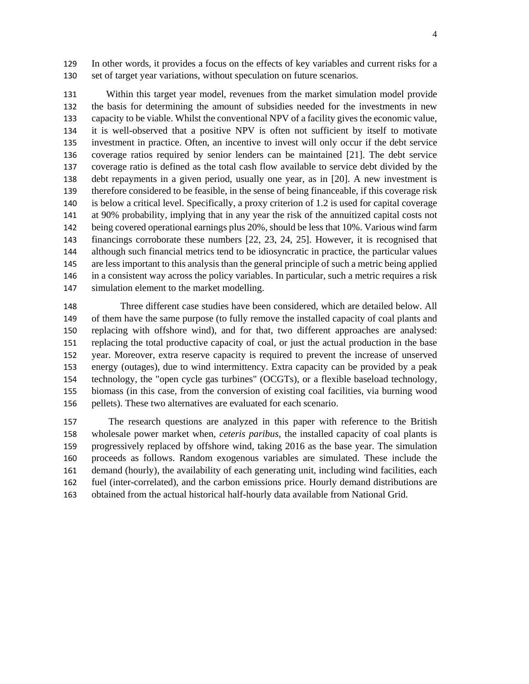In other words, it provides a focus on the effects of key variables and current risks for a set of target year variations, without speculation on future scenarios.

 Within this target year model, revenues from the market simulation model provide the basis for determining the amount of subsidies needed for the investments in new capacity to be viable. Whilst the conventional NPV of a facility gives the economic value, it is well-observed that a positive NPV is often not sufficient by itself to motivate investment in practice. Often, an incentive to invest will only occur if the debt service coverage ratios required by senior lenders can be maintained [21]. The debt service coverage ratio is defined as the total cash flow available to service debt divided by the debt repayments in a given period, usually one year, as in [20]. A new investment is therefore considered to be feasible, in the sense of being financeable, if this coverage risk is below a critical level. Specifically, a proxy criterion of 1.2 is used for capital coverage at 90% probability, implying that in any year the risk of the annuitized capital costs not being covered operational earnings plus 20%, should be less that 10%. Various wind farm financings corroborate these numbers [22, 23, 24, 25]. However, it is recognised that although such financial metrics tend to be idiosyncratic in practice, the particular values are less important to this analysis than the general principle of such a metric being applied in a consistent way across the policy variables. In particular, such a metric requires a risk simulation element to the market modelling.

 Three different case studies have been considered, which are detailed below. All of them have the same purpose (to fully remove the installed capacity of coal plants and replacing with offshore wind), and for that, two different approaches are analysed: replacing the total productive capacity of coal, or just the actual production in the base year. Moreover, extra reserve capacity is required to prevent the increase of unserved energy (outages), due to wind intermittency. Extra capacity can be provided by a peak technology, the "open cycle gas turbines" (OCGTs), or a flexible baseload technology, biomass (in this case, from the conversion of existing coal facilities, via burning wood pellets). These two alternatives are evaluated for each scenario.

 The research questions are analyzed in this paper with reference to the British wholesale power market when, *ceteris paribus*, the installed capacity of coal plants is progressively replaced by offshore wind, taking 2016 as the base year. The simulation proceeds as follows. Random exogenous variables are simulated. These include the demand (hourly), the availability of each generating unit, including wind facilities, each fuel (inter-correlated), and the carbon emissions price. Hourly demand distributions are obtained from the actual historical half-hourly data available from National Grid.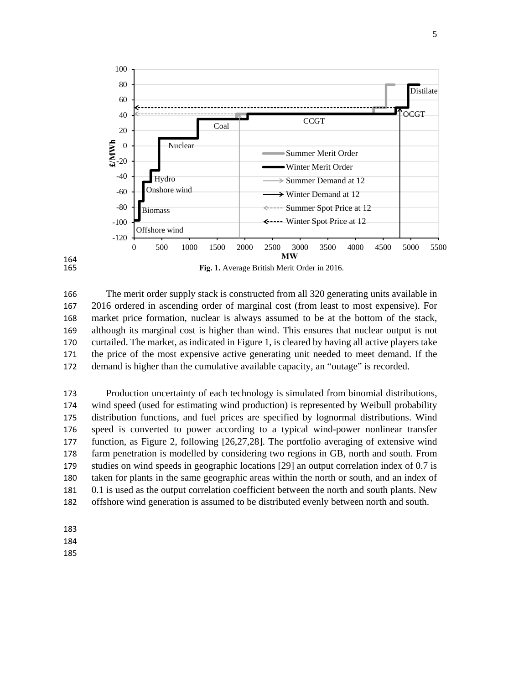

 The merit order supply stack is constructed from all 320 generating units available in 2016 ordered in ascending order of marginal cost (from least to most expensive). For market price formation, nuclear is always assumed to be at the bottom of the stack, although its marginal cost is higher than wind. This ensures that nuclear output is not curtailed. The market, as indicated in Figure 1, is cleared by having all active players take the price of the most expensive active generating unit needed to meet demand. If the demand is higher than the cumulative available capacity, an "outage" is recorded.

 Production uncertainty of each technology is simulated from binomial distributions, wind speed (used for estimating wind production) is represented by Weibull probability distribution functions, and fuel prices are specified by lognormal distributions. Wind speed is converted to power according to a typical wind-power nonlinear transfer function, as Figure 2, following [26,27,28]. The portfolio averaging of extensive wind farm penetration is modelled by considering two regions in GB, north and south. From studies on wind speeds in geographic locations [29] an output correlation index of 0.7 is taken for plants in the same geographic areas within the north or south, and an index of 0.1 is used as the output correlation coefficient between the north and south plants. New offshore wind generation is assumed to be distributed evenly between north and south.

183

164<br>165

- 184
- 185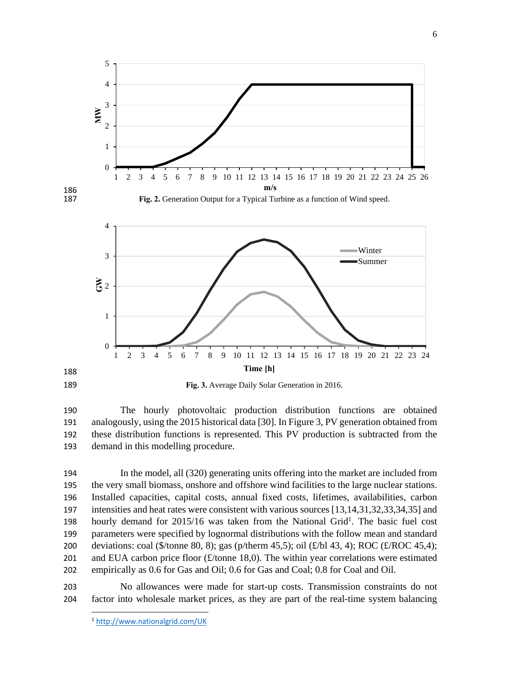

**Fig. 3.** Average Daily Solar Generation in 2016.

 The hourly photovoltaic production distribution functions are obtained analogously, using the 2015 historical data [30]. In Figure 3, PV generation obtained from these distribution functions is represented. This PV production is subtracted from the demand in this modelling procedure.

 In the model, all (320) generating units offering into the market are included from the very small biomass, onshore and offshore wind facilities to the large nuclear stations. Installed capacities, capital costs, annual fixed costs, lifetimes, availabilities, carbon intensities and heat rates were consistent with various sources [13,14,31,32,33,34,35] and hourly demand for  $2015/16$  was taken from the National Grid<sup>1</sup>. The basic fuel cost parameters were specified by lognormal distributions with the follow mean and standard deviations: coal (\$/tonne 80, 8); gas (p/therm 45,5); oil (£/bl 43, 4); ROC (£/ROC 45,4); 201 and EUA carbon price floor  $(f$ /tonne 18,0). The within year correlations were estimated empirically as 0.6 for Gas and Oil; 0.6 for Gas and Coal; 0.8 for Coal and Oil.

 No allowances were made for start-up costs. Transmission constraints do not factor into wholesale market prices, as they are part of the real-time system balancing

 http://www.nationalgrid.com/UK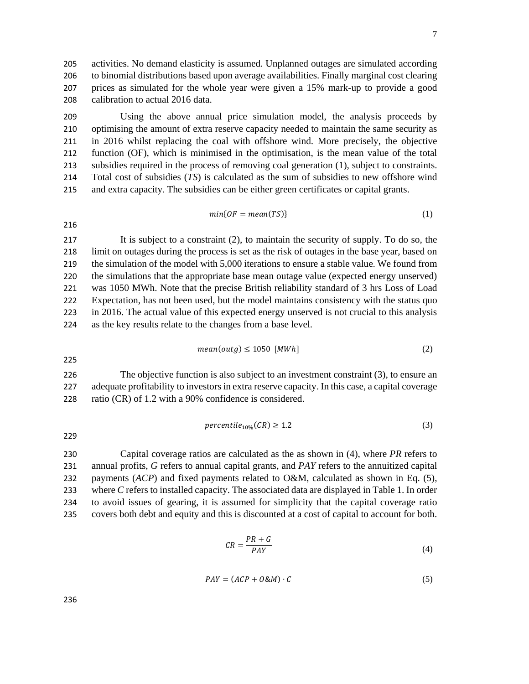activities. No demand elasticity is assumed. Unplanned outages are simulated according to binomial distributions based upon average availabilities. Finally marginal cost clearing prices as simulated for the whole year were given a 15% mark-up to provide a good calibration to actual 2016 data.

 Using the above annual price simulation model, the analysis proceeds by optimising the amount of extra reserve capacity needed to maintain the same security as in 2016 whilst replacing the coal with offshore wind. More precisely, the objective function (OF), which is minimised in the optimisation, is the mean value of the total subsidies required in the process of removing coal generation (1), subject to constraints. Total cost of subsidies (*TS*) is calculated as the sum of subsidies to new offshore wind and extra capacity. The subsidies can be either green certificates or capital grants.

$$
min\{OF = mean(TS)\}\tag{1}
$$

 It is subject to a constraint (2), to maintain the security of supply. To do so, the limit on outages during the process is set as the risk of outages in the base year, based on the simulation of the model with 5,000 iterations to ensure a stable value. We found from the simulations that the appropriate base mean outage value (expected energy unserved) was 1050 MWh. Note that the precise British reliability standard of 3 hrs Loss of Load Expectation, has not been used, but the model maintains consistency with the status quo in 2016. The actual value of this expected energy unserved is not crucial to this analysis as the key results relate to the changes from a base level.

$$
mean(outg) \le 1050 \, [MWh] \tag{2}
$$

 The objective function is also subject to an investment constraint (3), to ensure an adequate profitability to investors in extra reserve capacity. In this case, a capital coverage ratio (CR) of 1.2 with a 90% confidence is considered.

$$
percentile_{10\%}(CR) \ge 1.2\tag{3}
$$

 Capital coverage ratios are calculated as the as shown in (4), where *PR* refers to annual profits, *G* refers to annual capital grants, and *PAY* refers to the annuitized capital payments (*ACP*) and fixed payments related to O&M, calculated as shown in Eq. (5), where *C* refers to installed capacity. The associated data are displayed in Table 1. In order to avoid issues of gearing, it is assumed for simplicity that the capital coverage ratio covers both debt and equity and this is discounted at a cost of capital to account for both.

$$
CR = \frac{PR + G}{PAY} \tag{4}
$$

$$
PAY = (ACP + O\&M) \cdot C \tag{5}
$$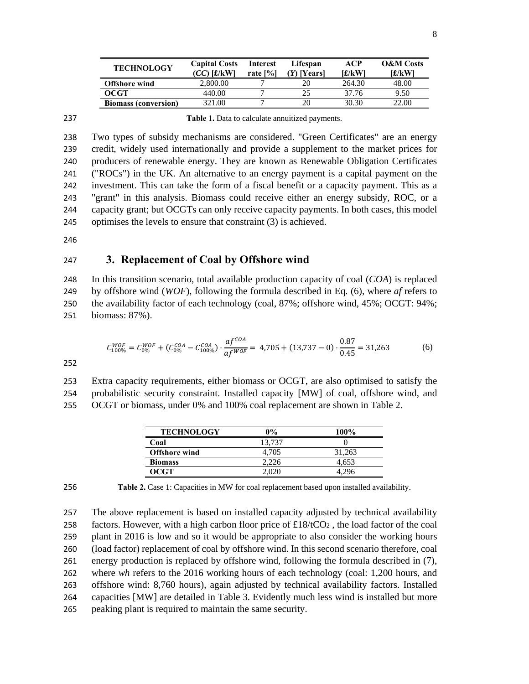| <b>TECHNOLOGY</b>           | <b>Capital Costs</b><br>(CC) [£/kW] | <b>Interest</b><br>rate [%] | Lifespan<br>(Y) [Years] | ACP<br>[£/kW] | <b>O&amp;M</b> Costs<br>[£/kW |
|-----------------------------|-------------------------------------|-----------------------------|-------------------------|---------------|-------------------------------|
| <b>Offshore</b> wind        | 2,800.00                            |                             |                         | 264.30        | 48.00                         |
| OCGT                        | 440.00                              |                             | 25                      | 37.76         | 9.50                          |
| <b>Biomass (conversion)</b> | 321.00                              |                             | 20                      | 30.30         | 22.00                         |

237 **Table 1.** Data to calculate annuitized payments.

 Two types of subsidy mechanisms are considered. "Green Certificates" are an energy credit, widely used internationally and provide a supplement to the market prices for producers of renewable energy. They are known as Renewable Obligation Certificates ("ROCs") in the UK. An alternative to an energy payment is a capital payment on the investment. This can take the form of a fiscal benefit or a capacity payment. This as a "grant" in this analysis. Biomass could receive either an energy subsidy, ROC, or a capacity grant; but OCGTs can only receive capacity payments. In both cases, this model optimises the levels to ensure that constraint (3) is achieved.

246

#### 247 **3. Replacement of Coal by Offshore wind**

 In this transition scenario, total available production capacity of coal (*COA*) is replaced by offshore wind (*WOF*), following the formula described in Eq. (6), where *af* refers to the availability factor of each technology (coal, 87%; offshore wind, 45%; OCGT: 94%; biomass: 87%).

$$
C_{100\%}^{WOF} = C_{0\%}^{WOF} + (C_{0\%}^{COA} - C_{100\%}^{COA}) \cdot \frac{af^{COA}}{af^{WOF}} = 4,705 + (13,737 - 0) \cdot \frac{0.87}{0.45} = 31,263
$$
 (6)

252

253 Extra capacity requirements, either biomass or OCGT, are also optimised to satisfy the 254 probabilistic security constraint. Installed capacity [MW] of coal, offshore wind, and 255 OCGT or biomass, under 0% and 100% coal replacement are shown in Table 2.

| <b>TECHNOLOGY</b>    | 0%     | 100%   |
|----------------------|--------|--------|
| Coal                 | 13.737 |        |
| <b>Offshore</b> wind | 4.705  | 31.263 |
| <b>Biomass</b>       | 2,226  | 4.653  |
| OCGT                 | 2,020  |        |

256 **Table 2.** Case 1: Capacities in MW for coal replacement based upon installed availability.

 The above replacement is based on installed capacity adjusted by technical availability 258 factors. However, with a high carbon floor price of  $\pounds18/1^{\text{C}}O_2$ , the load factor of the coal plant in 2016 is low and so it would be appropriate to also consider the working hours (load factor) replacement of coal by offshore wind. In this second scenario therefore, coal energy production is replaced by offshore wind, following the formula described in (7), where *wh* refers to the 2016 working hours of each technology (coal: 1,200 hours, and offshore wind: 8,760 hours), again adjusted by technical availability factors. Installed capacities [MW] are detailed in Table 3. Evidently much less wind is installed but more peaking plant is required to maintain the same security.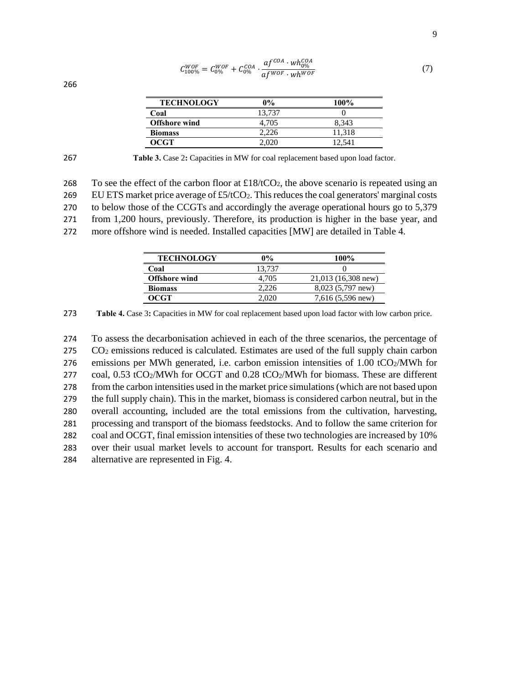| <b>TECHNOLOGY</b>    | 0%     | $100\%$ |
|----------------------|--------|---------|
| Coal                 | 13.737 |         |
| <b>Offshore</b> wind | 4.705  | 8.343   |
| <b>Biomass</b>       | 2.226  | 11.318  |
| OCGT                 | 2.020  | 12.541  |

| $C_{100\%}^{WOF} = C_{0\%}^{WOF} + C_{0\%}^{COA} \cdot \frac{af^{COA} \cdot wh_{0\%}^{COA}}{af^{WOF} \cdot wh^{WOF}}$ |  |
|-----------------------------------------------------------------------------------------------------------------------|--|
|                                                                                                                       |  |

266

267 **Table 3.** Case 2**:** Capacities in MW for coal replacement based upon load factor.

268 To see the effect of the carbon floor at £18/tCO<sub>2</sub>, the above scenario is repeated using an 269 EU ETS market price average of  $\text{\pounds}5/\text{\pounds}O_2$ . This reduces the coal generators' marginal costs 270 to below those of the CCGTs and accordingly the average operational hours go to 5,379 271 from 1,200 hours, previously. Therefore, its production is higher in the base year, and

272 more offshore wind is needed. Installed capacities [MW] are detailed in Table 4.

| <b>TECHNOLOGY</b>    | $0\%$  | 100%                  |
|----------------------|--------|-----------------------|
| Coal                 | 13.737 |                       |
| <b>Offshore</b> wind | 4.705  | $21,013$ (16,308 new) |
| <b>Biomass</b>       | 2.226  | 8,023 (5,797 new)     |
| OCGT                 |        | $7,616(5,596)$ new)   |

273 **Table 4.** Case 3**:** Capacities in MW for coal replacement based upon load factor with low carbon price.

 To assess the decarbonisation achieved in each of the three scenarios, the percentage of CO2 emissions reduced is calculated. Estimates are used of the full supply chain carbon 276 emissions per MWh generated, i.e. carbon emission intensities of  $1.00 \text{ tCO}_2/\text{MWh}$  for coal, 0.53 tCO2/MWh for OCGT and 0.28 tCO2/MWh for biomass. These are different from the carbon intensities used in the market price simulations (which are not based upon the full supply chain). This in the market, biomass is considered carbon neutral, but in the overall accounting, included are the total emissions from the cultivation, harvesting, processing and transport of the biomass feedstocks. And to follow the same criterion for coal and OCGT, final emission intensities of these two technologies are increased by 10% over their usual market levels to account for transport. Results for each scenario and alternative are represented in Fig. 4.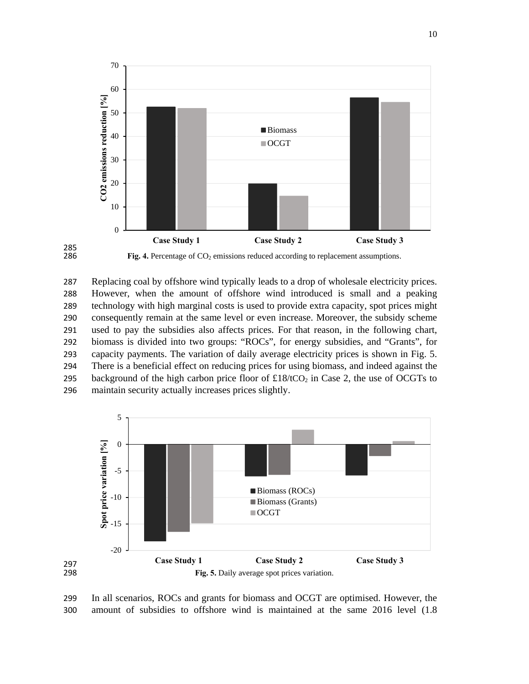



285<br>286

 Replacing coal by offshore wind typically leads to a drop of wholesale electricity prices. However, when the amount of offshore wind introduced is small and a peaking technology with high marginal costs is used to provide extra capacity, spot prices might consequently remain at the same level or even increase. Moreover, the subsidy scheme used to pay the subsidies also affects prices. For that reason, in the following chart, biomass is divided into two groups: "ROCs", for energy subsidies, and "Grants", for capacity payments. The variation of daily average electricity prices is shown in Fig. 5. There is a beneficial effect on reducing prices for using biomass, and indeed against the 295 background of the high carbon price floor of  $\pounds18/1CO<sub>2</sub>$  in Case 2, the use of OCGTs to maintain security actually increases prices slightly.



 In all scenarios, ROCs and grants for biomass and OCGT are optimised. However, the amount of subsidies to offshore wind is maintained at the same 2016 level (1.8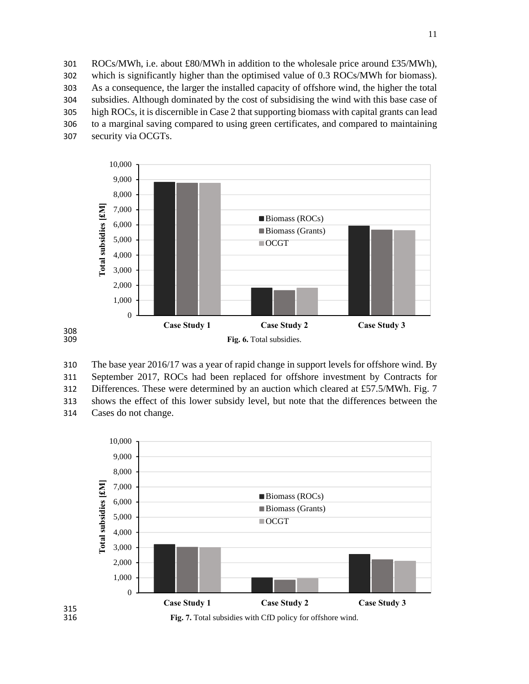ROCs/MWh, i.e. about £80/MWh in addition to the wholesale price around £35/MWh), which is significantly higher than the optimised value of 0.3 ROCs/MWh for biomass). As a consequence, the larger the installed capacity of offshore wind, the higher the total subsidies. Although dominated by the cost of subsidising the wind with this base case of high ROCs, it is discernible in Case 2 that supporting biomass with capital grants can lead to a marginal saving compared to using green certificates, and compared to maintaining security via OCGTs.



 The base year 2016/17 was a year of rapid change in support levels for offshore wind. By September 2017, ROCs had been replaced for offshore investment by Contracts for 312 Differences. These were determined by an auction which cleared at £57.5/MWh. Fig. 7 shows the effect of this lower subsidy level, but note that the differences between the Cases do not change.

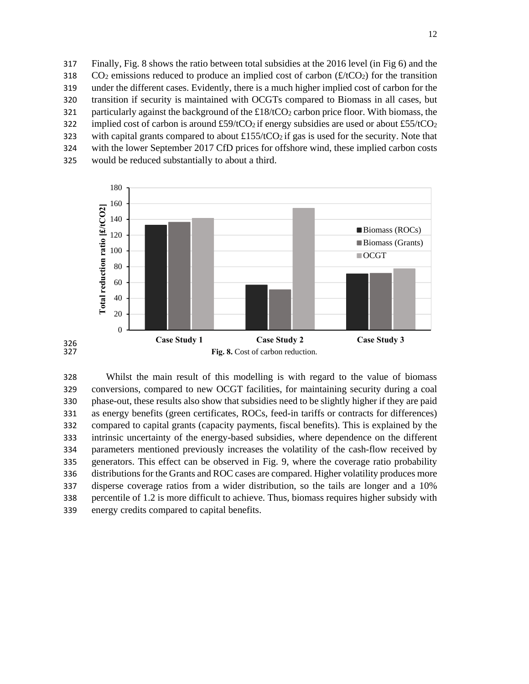Finally, Fig. 8 shows the ratio between total subsidies at the 2016 level (in Fig 6) and the  $CO<sub>2</sub>$  emissions reduced to produce an implied cost of carbon (£/tCO<sub>2</sub>) for the transition under the different cases. Evidently, there is a much higher implied cost of carbon for the transition if security is maintained with OCGTs compared to Biomass in all cases, but 321 particularly against the background of the  $\pounds18/tCO_2$  carbon price floor. With biomass, the 322 implied cost of carbon is around  $\text{\pounds}59/tCO_2$  if energy subsidies are used or about  $\text{\pounds}55/tCO_2$ 323 with capital grants compared to about  $\pounds$ 155/tCO<sub>2</sub> if gas is used for the security. Note that with the lower September 2017 CfD prices for offshore wind, these implied carbon costs would be reduced substantially to about a third.





326<br>327

 Whilst the main result of this modelling is with regard to the value of biomass conversions, compared to new OCGT facilities, for maintaining security during a coal phase-out, these results also show that subsidies need to be slightly higher if they are paid as energy benefits (green certificates, ROCs, feed-in tariffs or contracts for differences) compared to capital grants (capacity payments, fiscal benefits). This is explained by the intrinsic uncertainty of the energy-based subsidies, where dependence on the different parameters mentioned previously increases the volatility of the cash-flow received by generators. This effect can be observed in Fig. 9, where the coverage ratio probability distributions for the Grants and ROC cases are compared. Higher volatility produces more disperse coverage ratios from a wider distribution, so the tails are longer and a 10% percentile of 1.2 is more difficult to achieve. Thus, biomass requires higher subsidy with energy credits compared to capital benefits.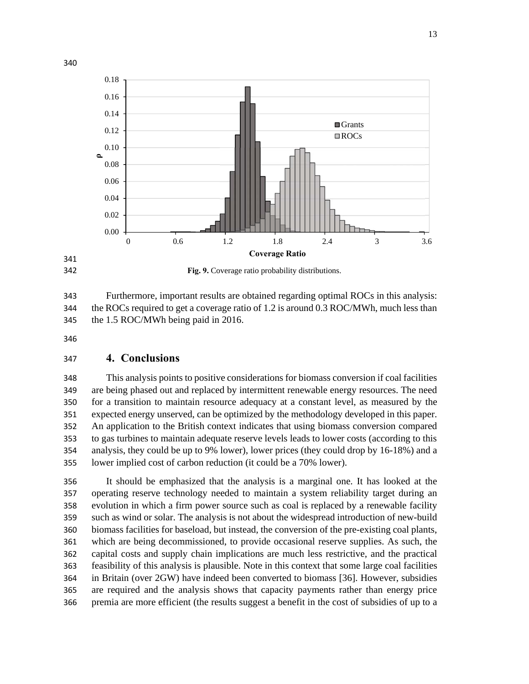



**Fig. 9.** Coverage ratio probability distributions.

 Furthermore, important results are obtained regarding optimal ROCs in this analysis: the ROCs required to get a coverage ratio of 1.2 is around 0.3 ROC/MWh, much less than the 1.5 ROC/MWh being paid in 2016.

## **4. Conclusions**

 This analysis points to positive considerations for biomass conversion if coal facilities are being phased out and replaced by intermittent renewable energy resources. The need for a transition to maintain resource adequacy at a constant level, as measured by the expected energy unserved, can be optimized by the methodology developed in this paper. An application to the British context indicates that using biomass conversion compared to gas turbines to maintain adequate reserve levels leads to lower costs (according to this analysis, they could be up to 9% lower), lower prices (they could drop by 16-18%) and a lower implied cost of carbon reduction (it could be a 70% lower).

 It should be emphasized that the analysis is a marginal one. It has looked at the operating reserve technology needed to maintain a system reliability target during an evolution in which a firm power source such as coal is replaced by a renewable facility such as wind or solar. The analysis is not about the widespread introduction of new-build biomass facilities for baseload, but instead, the conversion of the pre-existing coal plants, which are being decommissioned, to provide occasional reserve supplies. As such, the capital costs and supply chain implications are much less restrictive, and the practical feasibility of this analysis is plausible. Note in this context that some large coal facilities in Britain (over 2GW) have indeed been converted to biomass [36]. However, subsidies are required and the analysis shows that capacity payments rather than energy price premia are more efficient (the results suggest a benefit in the cost of subsidies of up to a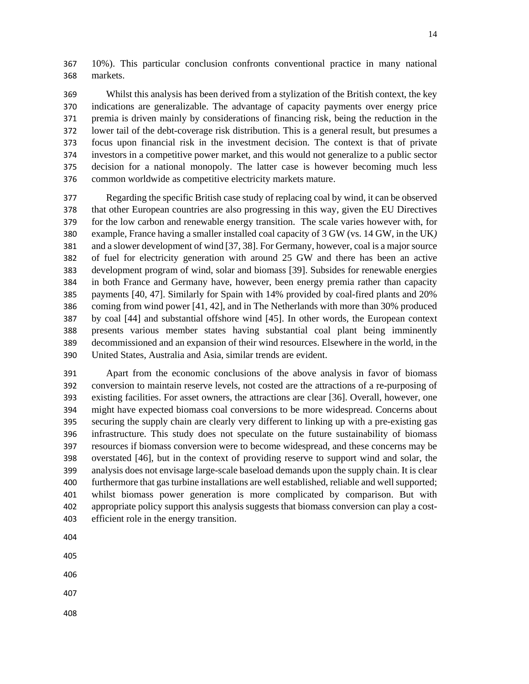10%). This particular conclusion confronts conventional practice in many national markets.

 Whilst this analysis has been derived from a stylization of the British context, the key indications are generalizable. The advantage of capacity payments over energy price premia is driven mainly by considerations of financing risk, being the reduction in the lower tail of the debt-coverage risk distribution. This is a general result, but presumes a focus upon financial risk in the investment decision. The context is that of private investors in a competitive power market, and this would not generalize to a public sector decision for a national monopoly. The latter case is however becoming much less common worldwide as competitive electricity markets mature.

 Regarding the specific British case study of replacing coal by wind, it can be observed that other European countries are also progressing in this way, given the EU Directives for the low carbon and renewable energy transition. The scale varies however with, for example, France having a smaller installed coal capacity of 3 GW (vs. 14 GW, in the UK*)*  and a slower development of wind [37, 38]. For Germany, however, coal is a major source of fuel for electricity generation with around 25 GW and there has been an active development program of wind, solar and biomass [39]. Subsides for renewable energies in both France and Germany have, however, been energy premia rather than capacity payments [40, 47]. Similarly for Spain with 14% provided by coal-fired plants and 20% coming from wind power [41, 42], and in The Netherlands with more than 30% produced by coal [44] and substantial offshore wind [45]. In other words, the European context presents various member states having substantial coal plant being imminently decommissioned and an expansion of their wind resources. Elsewhere in the world, in the United States, Australia and Asia, similar trends are evident.

 Apart from the economic conclusions of the above analysis in favor of biomass conversion to maintain reserve levels, not costed are the attractions of a re-purposing of existing facilities. For asset owners, the attractions are clear [36]. Overall, however, one might have expected biomass coal conversions to be more widespread. Concerns about securing the supply chain are clearly very different to linking up with a pre-existing gas infrastructure. This study does not speculate on the future sustainability of biomass resources if biomass conversion were to become widespread, and these concerns may be overstated [46], but in the context of providing reserve to support wind and solar, the analysis does not envisage large-scale baseload demands upon the supply chain. It is clear furthermore that gas turbine installations are well established, reliable and well supported; whilst biomass power generation is more complicated by comparison. But with appropriate policy support this analysis suggests that biomass conversion can play a cost-efficient role in the energy transition.

- 
- 
- 
- 
-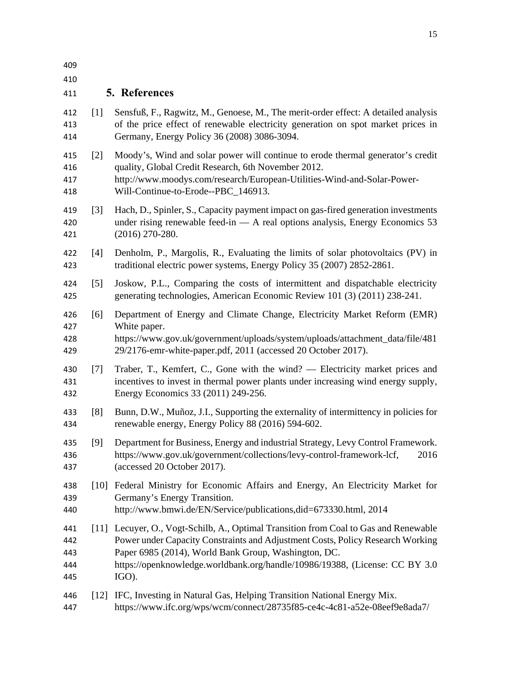| 409<br>410                      |                  |                                                                                                                                                                                                                                                                                                                        |
|---------------------------------|------------------|------------------------------------------------------------------------------------------------------------------------------------------------------------------------------------------------------------------------------------------------------------------------------------------------------------------------|
| 411                             |                  | <b>5. References</b>                                                                                                                                                                                                                                                                                                   |
| 412<br>413<br>414               | $[1]$            | Sensfuß, F., Ragwitz, M., Genoese, M., The merit-order effect: A detailed analysis<br>of the price effect of renewable electricity generation on spot market prices in<br>Germany, Energy Policy 36 (2008) 3086-3094.                                                                                                  |
| 415<br>416<br>417<br>418        | [2]              | Moody's, Wind and solar power will continue to erode thermal generator's credit<br>quality, Global Credit Research, 6th November 2012.<br>http://www.moodys.com/research/European-Utilities-Wind-and-Solar-Power-<br>Will-Continue-to-Erode--PBC_146913.                                                               |
| 419<br>420<br>421               | $\left[3\right]$ | Hach, D., Spinler, S., Capacity payment impact on gas-fired generation investments<br>under rising renewable feed-in $-$ A real options analysis, Energy Economics 53<br>$(2016)$ 270-280.                                                                                                                             |
| 422<br>423                      | $[4]$            | Denholm, P., Margolis, R., Evaluating the limits of solar photovoltaics (PV) in<br>traditional electric power systems, Energy Policy 35 (2007) 2852-2861.                                                                                                                                                              |
| 424<br>425                      | $\left[5\right]$ | Joskow, P.L., Comparing the costs of intermittent and dispatchable electricity<br>generating technologies, American Economic Review 101 (3) (2011) 238-241.                                                                                                                                                            |
| 426<br>427<br>428<br>429        | [6]              | Department of Energy and Climate Change, Electricity Market Reform (EMR)<br>White paper.<br>https://www.gov.uk/government/uploads/system/uploads/attachment_data/file/481<br>29/2176-emr-white-paper.pdf, 2011 (accessed 20 October 2017).                                                                             |
| 430<br>431<br>432               | $[7]$            | Traber, T., Kemfert, C., Gone with the wind? — Electricity market prices and<br>incentives to invest in thermal power plants under increasing wind energy supply,<br>Energy Economics 33 (2011) 249-256.                                                                                                               |
| 433<br>434                      | [8]              | Bunn, D.W., Muñoz, J.I., Supporting the externality of intermittency in policies for<br>renewable energy, Energy Policy 88 (2016) 594-602.                                                                                                                                                                             |
| 435<br>436<br>437               | [9]              | Department for Business, Energy and industrial Strategy, Levy Control Framework.<br>https://www.gov.uk/government/collections/levy-control-framework-lcf,<br>2016<br>(accessed 20 October 2017).                                                                                                                       |
| 438<br>439<br>440               |                  | [10] Federal Ministry for Economic Affairs and Energy, An Electricity Market for<br>Germany's Energy Transition.<br>http://www.bmwi.de/EN/Service/publications,did=673330.html, 2014                                                                                                                                   |
| 441<br>442<br>443<br>444<br>445 |                  | [11] Lecuyer, O., Vogt-Schilb, A., Optimal Transition from Coal to Gas and Renewable<br>Power under Capacity Constraints and Adjustment Costs, Policy Research Working<br>Paper 6985 (2014), World Bank Group, Washington, DC.<br>https://openknowledge.worldbank.org/handle/10986/19388, (License: CC BY 3.0<br>IGO). |
| 446<br>447                      |                  | [12] IFC, Investing in Natural Gas, Helping Transition National Energy Mix.<br>https://www.ifc.org/wps/wcm/connect/28735f85-ce4c-4c81-a52e-08eef9e8ada7/                                                                                                                                                               |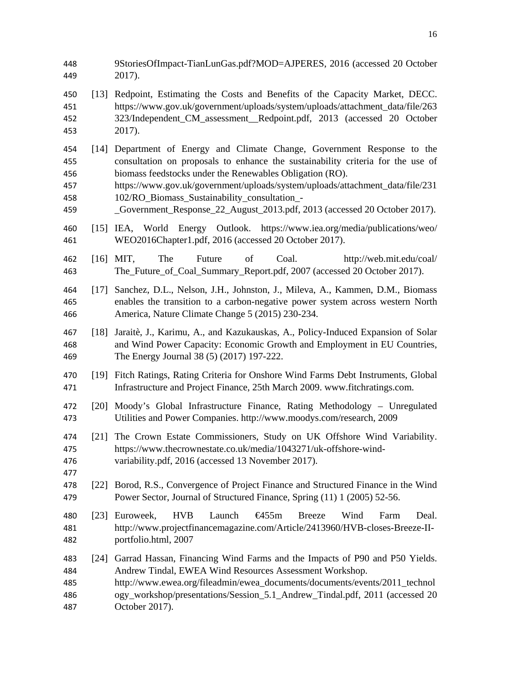9StoriesOfImpact-TianLunGas.pdf?MOD=AJPERES, 2016 (accessed 20 October 2017). [13] Redpoint, Estimating the Costs and Benefits of the Capacity Market, DECC. https://www.gov.uk/government/uploads/system/uploads/attachment\_data/file/263 323/Independent\_CM\_assessment\_\_Redpoint.pdf, 2013 (accessed 20 October 2017). [14] Department of Energy and Climate Change, Government Response to the consultation on proposals to enhance the sustainability criteria for the use of biomass feedstocks under the Renewables Obligation (RO). https://www.gov.uk/government/uploads/system/uploads/attachment\_data/file/231 458 102/RO Biomass Sustainability consultation - \_Government\_Response\_22\_August\_2013.pdf, 2013 (accessed 20 October 2017). [15] IEA, World Energy Outlook. https://www.iea.org/media/publications/weo/ WEO2016Chapter1.pdf, 2016 (accessed 20 October 2017). [16] MIT, The Future of Coal. http://web.mit.edu/coal/ The\_Future\_of\_Coal\_Summary\_Report.pdf, 2007 (accessed 20 October 2017). [17] Sanchez, D.L., Nelson, J.H., Johnston, J., Mileva, A., Kammen, D.M., Biomass enables the transition to a carbon-negative power system across western North America, Nature Climate Change 5 (2015) 230-234. [18] Jaraitè, J., Karimu, A., and Kazukauskas, A., Policy-Induced Expansion of Solar and Wind Power Capacity: Economic Growth and Employment in EU Countries, The Energy Journal 38 (5) (2017) 197-222. [19] Fitch Ratings, Rating Criteria for Onshore Wind Farms Debt Instruments, Global Infrastructure and Project Finance, 25th March 2009. www.fitchratings.com. [20] Moody's Global Infrastructure Finance, Rating Methodology – Unregulated Utilities and Power Companies. http://www.moodys.com/research, 2009 [21] The Crown Estate Commissioners, Study on UK Offshore Wind Variability. https://www.thecrownestate.co.uk/media/1043271/uk-offshore-wind- variability.pdf, 2016 (accessed 13 November 2017). [22] Borod, R.S., Convergence of Project Finance and Structured Finance in the Wind Power Sector, Journal of Structured Finance, Spring (11) 1 (2005) 52-56. [23] Euroweek, HVB Launch €455m Breeze Wind Farm Deal. http://www.projectfinancemagazine.com/Article/2413960/HVB-closes-Breeze-II- portfolio.html, 2007 [24] Garrad Hassan, Financing Wind Farms and the Impacts of P90 and P50 Yields. Andrew Tindal, EWEA Wind Resources Assessment Workshop. http://www.ewea.org/fileadmin/ewea\_documents/documents/events/2011\_technol ogy\_workshop/presentations/Session\_5.1\_Andrew\_Tindal.pdf, 2011 (accessed 20 October 2017).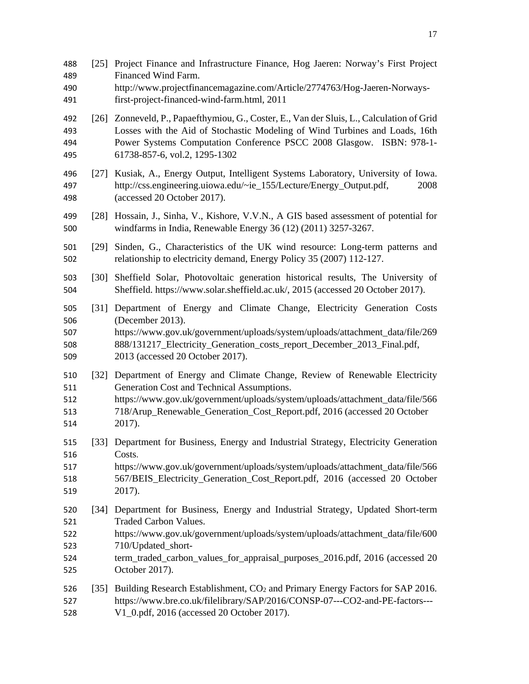- [25] Project Finance and Infrastructure Finance, Hog Jaeren: Norway's First Project Financed Wind Farm. http://www.projectfinancemagazine.com/Article/2774763/Hog-Jaeren-Norways- first-project-financed-wind-farm.html, 2011 [26] Zonneveld, P., Papaefthymiou, G., Coster, E., Van der Sluis, L., Calculation of Grid Losses with the Aid of Stochastic Modeling of Wind Turbines and Loads, 16th Power Systems Computation Conference PSCC 2008 Glasgow. ISBN: 978-1- 61738-857-6, vol.2, 1295-1302 [27] Kusiak, A., Energy Output, Intelligent Systems Laboratory, University of Iowa. http://css.engineering.uiowa.edu/~ie\_155/Lecture/Energy\_Output.pdf, 2008 (accessed 20 October 2017). [28] Hossain, J., Sinha, V., Kishore, V.V.N., A GIS based assessment of potential for windfarms in India, Renewable Energy 36 (12) (2011) 3257-3267. [29] Sinden, G., Characteristics of the UK wind resource: Long-term patterns and relationship to electricity demand, Energy Policy 35 (2007) 112-127. [30] Sheffield Solar, Photovoltaic generation historical results, The University of Sheffield. https://www.solar.sheffield.ac.uk/, 2015 (accessed 20 October 2017). [31] Department of Energy and Climate Change, Electricity Generation Costs (December 2013). https://www.gov.uk/government/uploads/system/uploads/attachment\_data/file/269 888/131217\_Electricity\_Generation\_costs\_report\_December\_2013\_Final.pdf, 2013 (accessed 20 October 2017). [32] Department of Energy and Climate Change, Review of Renewable Electricity Generation Cost and Technical Assumptions. https://www.gov.uk/government/uploads/system/uploads/attachment\_data/file/566 718/Arup\_Renewable\_Generation\_Cost\_Report.pdf, 2016 (accessed 20 October 2017). [33] Department for Business, Energy and Industrial Strategy, Electricity Generation Costs. https://www.gov.uk/government/uploads/system/uploads/attachment\_data/file/566 518 567/BEIS Electricity Generation Cost Report.pdf, 2016 (accessed 20 October 2017). [34] Department for Business, Energy and Industrial Strategy, Updated Short-term Traded Carbon Values. https://www.gov.uk/government/uploads/system/uploads/attachment\_data/file/600 710/Updated\_short-524 term traded carbon values for appraisal purposes 2016.pdf, 2016 (accessed 20 October 2017). 526 [35] Building Research Establishment, CO<sub>2</sub> and Primary Energy Factors for SAP 2016. https://www.bre.co.uk/filelibrary/SAP/2016/CONSP-07---CO2-and-PE-factors---
- V1\_0.pdf, 2016 (accessed 20 October 2017).